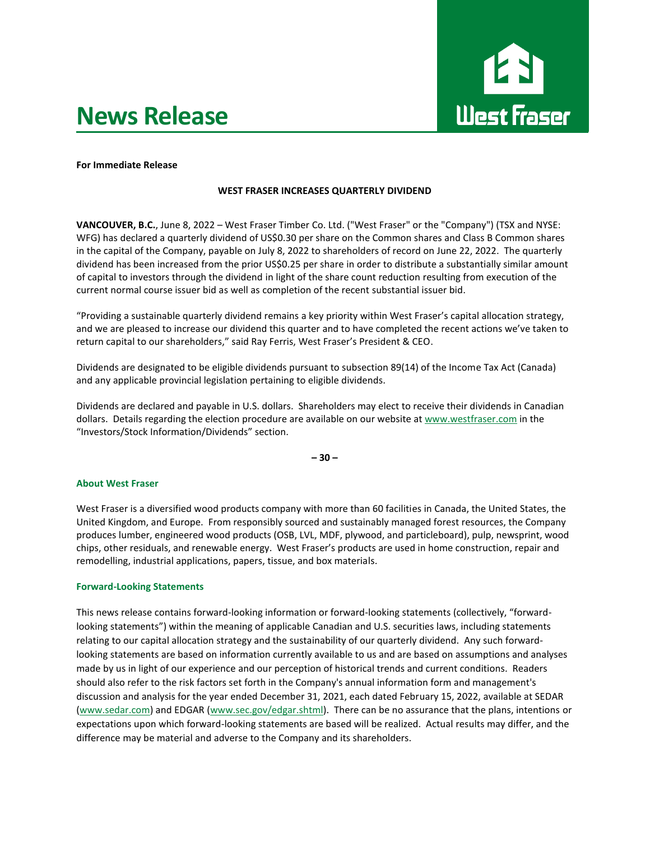# **News Release**



#### **For Immediate Release**

### **WEST FRASER INCREASES QUARTERLY DIVIDEND**

**VANCOUVER, B.C.**, June 8, 2022 – West Fraser Timber Co. Ltd. ("West Fraser" or the "Company") (TSX and NYSE: WFG) has declared a quarterly dividend of US\$0.30 per share on the Common shares and Class B Common shares in the capital of the Company, payable on July 8, 2022 to shareholders of record on June 22, 2022. The quarterly dividend has been increased from the prior US\$0.25 per share in order to distribute a substantially similar amount of capital to investors through the dividend in light of the share count reduction resulting from execution of the current normal course issuer bid as well as completion of the recent substantial issuer bid.

"Providing a sustainable quarterly dividend remains a key priority within West Fraser's capital allocation strategy, and we are pleased to increase our dividend this quarter and to have completed the recent actions we've taken to return capital to our shareholders," said Ray Ferris, West Fraser's President & CEO.

Dividends are designated to be eligible dividends pursuant to subsection 89(14) of the Income Tax Act (Canada) and any applicable provincial legislation pertaining to eligible dividends.

Dividends are declared and payable in U.S. dollars. Shareholders may elect to receive their dividends in Canadian dollars. Details regarding the election procedure are available on our website at [www.westfraser.com](http://www.westfraser.com/) in the "Investors/Stock Information/Dividends" section.

**– 30 –**

#### **About West Fraser**

West Fraser is a diversified wood products company with more than 60 facilities in Canada, the United States, the United Kingdom, and Europe. From responsibly sourced and sustainably managed forest resources, the Company produces lumber, engineered wood products (OSB, LVL, MDF, plywood, and particleboard), pulp, newsprint, wood chips, other residuals, and renewable energy. West Fraser's products are used in home construction, repair and remodelling, industrial applications, papers, tissue, and box materials.

#### **Forward-Looking Statements**

This news release contains forward-looking information or forward-looking statements (collectively, "forwardlooking statements") within the meaning of applicable Canadian and U.S. securities laws, including statements relating to our capital allocation strategy and the sustainability of our quarterly dividend. Any such forwardlooking statements are based on information currently available to us and are based on assumptions and analyses made by us in light of our experience and our perception of historical trends and current conditions. Readers should also refer to the risk factors set forth in the Company's annual information form and management's discussion and analysis for the year ended December 31, 2021, each dated February 15, 2022, available at SEDAR [\(www.sedar.com\)](https://can01.safelinks.protection.outlook.com/?url=http%3A%2F%2Fwww.sedar.com%2F&data=05%7C01%7CRobert.Winslow%40westfraser.com%7C8e693c538231470c221b08da4357403c%7C34ad3be0bbba4db0a8e8933abd884c7d%7C0%7C0%7C637896339268690691%7CUnknown%7CTWFpbGZsb3d8eyJWIjoiMC4wLjAwMDAiLCJQIjoiV2luMzIiLCJBTiI6Ik1haWwiLCJXVCI6Mn0%3D%7C3000%7C%7C%7C&sdata=4LBb11WtxjfJMXEhmL%2BCXPAGdHNYrv%2B5f3TbYq9k5%2Bw%3D&reserved=0) and EDGAR [\(www.sec.gov/edgar.shtml\)](https://can01.safelinks.protection.outlook.com/?url=http%3A%2F%2Fwww.sec.gov%2Fedgar.shtml&data=05%7C01%7CRobert.Winslow%40westfraser.com%7C8e693c538231470c221b08da4357403c%7C34ad3be0bbba4db0a8e8933abd884c7d%7C0%7C0%7C637896339268690691%7CUnknown%7CTWFpbGZsb3d8eyJWIjoiMC4wLjAwMDAiLCJQIjoiV2luMzIiLCJBTiI6Ik1haWwiLCJXVCI6Mn0%3D%7C3000%7C%7C%7C&sdata=IozdbExn4uhBc7jOgvInjqrcZ4ecUy07BOC7Z%2FSZ4Zc%3D&reserved=0). There can be no assurance that the plans, intentions or expectations upon which forward-looking statements are based will be realized. Actual results may differ, and the difference may be material and adverse to the Company and its shareholders.